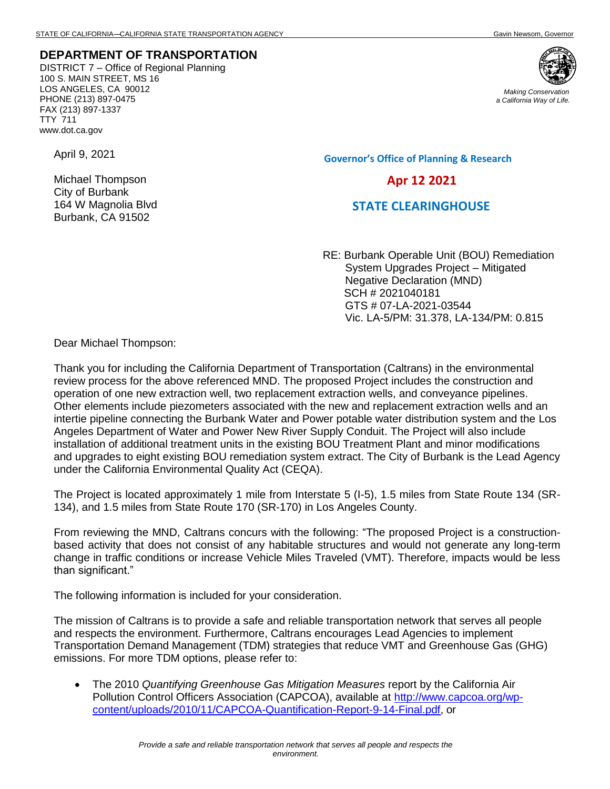## **DEPARTMENT OF TRANSPORTATION**

DISTRICT 7 – Office of Regional Planning 100 S. MAIN STREET, MS 16 LOS ANGELES, CA 90012 PHONE (213) 897-0475 FAX (213) 897-1337 TTY 711 www.dot.ca.gov

April 9, 2021

Michael Thompson City of Burbank 164 W Magnolia Blvd Burbank, CA 91502



*Making Conservation a California Way of Life.*

**Governor's Office of Planning & Research**

 **Apr 12 2021**

## **STATE CLEARINGHOUSE**

RE: Burbank Operable Unit (BOU) Remediation System Upgrades Project – Mitigated Negative Declaration (MND) SCH # 2021040181 GTS # 07-LA-2021-03544 Vic. LA-5/PM: 31.378, LA-134/PM: 0.815

Dear Michael Thompson:

Thank you for including the California Department of Transportation (Caltrans) in the environmental review process for the above referenced MND. The proposed Project includes the construction and operation of one new extraction well, two replacement extraction wells, and conveyance pipelines. Other elements include piezometers associated with the new and replacement extraction wells and an intertie pipeline connecting the Burbank Water and Power potable water distribution system and the Los Angeles Department of Water and Power New River Supply Conduit. The Project will also include installation of additional treatment units in the existing BOU Treatment Plant and minor modifications and upgrades to eight existing BOU remediation system extract. The City of Burbank is the Lead Agency under the California Environmental Quality Act (CEQA).

The Project is located approximately 1 mile from Interstate 5 (I-5), 1.5 miles from State Route 134 (SR-134), and 1.5 miles from State Route 170 (SR-170) in Los Angeles County.

From reviewing the MND, Caltrans concurs with the following: "The proposed Project is a constructionbased activity that does not consist of any habitable structures and would not generate any long-term change in traffic conditions or increase Vehicle Miles Traveled (VMT). Therefore, impacts would be less than significant."

The following information is included for your consideration.

The mission of Caltrans is to provide a safe and reliable transportation network that serves all people and respects the environment. Furthermore, Caltrans encourages Lead Agencies to implement Transportation Demand Management (TDM) strategies that reduce VMT and Greenhouse Gas (GHG) emissions. For more TDM options, please refer to:

• The 2010 *Quantifying Greenhouse Gas Mitigation Measures* report by the California Air Pollution Control Officers Association (CAPCOA), available at http://www.capcoa.org/wpcontent/uploads/2010/11/CAPCOA-Quantification-Report-9-14-Final.pdf, or